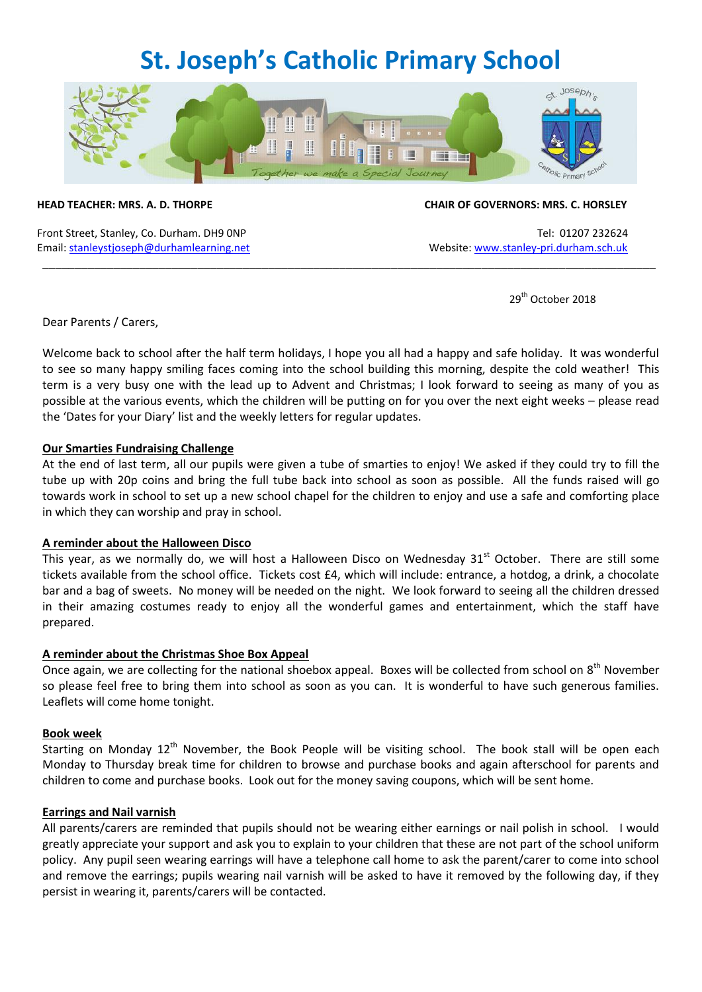### **St. Joseph's Catholic Primary School**



Front Street, Stanley, Co. Durham. DH9 0NP Tel: 01207 232624 Email[: stanleystjoseph@durhamlearning.net](mailto:stanleystjoseph@durhamlearning.net) Website[: www.stanley-pri.durham.sch.uk](http://www.stanley-pri.durham.sch.uk/)

#### **HEAD TEACHER: MRS. A. D. THORPE CHAIR OF GOVERNORS: MRS. C. HORSLEY**

29<sup>th</sup> October 2018

Dear Parents / Carers,

Welcome back to school after the half term holidays, I hope you all had a happy and safe holiday. It was wonderful to see so many happy smiling faces coming into the school building this morning, despite the cold weather! This term is a very busy one with the lead up to Advent and Christmas; I look forward to seeing as many of you as possible at the various events, which the children will be putting on for you over the next eight weeks – please read the 'Dates for your Diary' list and the weekly letters for regular updates.

\_\_\_\_\_\_\_\_\_\_\_\_\_\_\_\_\_\_\_\_\_\_\_\_\_\_\_\_\_\_\_\_\_\_\_\_\_\_\_\_\_\_\_\_\_\_\_\_\_\_\_\_\_\_\_\_\_\_\_\_\_\_\_\_\_\_\_\_\_\_\_\_\_\_\_\_\_\_\_\_\_\_\_\_\_\_\_\_\_\_\_\_\_\_\_

#### **Our Smarties Fundraising Challenge**

At the end of last term, all our pupils were given a tube of smarties to enjoy! We asked if they could try to fill the tube up with 20p coins and bring the full tube back into school as soon as possible. All the funds raised will go towards work in school to set up a new school chapel for the children to enjoy and use a safe and comforting place in which they can worship and pray in school.

#### **A reminder about the Halloween Disco**

This year, as we normally do, we will host a Halloween Disco on Wednesday  $31<sup>st</sup>$  October. There are still some tickets available from the school office. Tickets cost £4, which will include: entrance, a hotdog, a drink, a chocolate bar and a bag of sweets. No money will be needed on the night. We look forward to seeing all the children dressed in their amazing costumes ready to enjoy all the wonderful games and entertainment, which the staff have prepared.

### **A reminder about the Christmas Shoe Box Appeal**

Once again, we are collecting for the national shoebox appeal. Boxes will be collected from school on 8<sup>th</sup> November so please feel free to bring them into school as soon as you can. It is wonderful to have such generous families. Leaflets will come home tonight.

#### **Book week**

Starting on Monday 12<sup>th</sup> November, the Book People will be visiting school. The book stall will be open each Monday to Thursday break time for children to browse and purchase books and again afterschool for parents and children to come and purchase books. Look out for the money saving coupons, which will be sent home.

#### **Earrings and Nail varnish**

All parents/carers are reminded that pupils should not be wearing either earnings or nail polish in school. I would greatly appreciate your support and ask you to explain to your children that these are not part of the school uniform policy. Any pupil seen wearing earrings will have a telephone call home to ask the parent/carer to come into school and remove the earrings; pupils wearing nail varnish will be asked to have it removed by the following day, if they persist in wearing it, parents/carers will be contacted.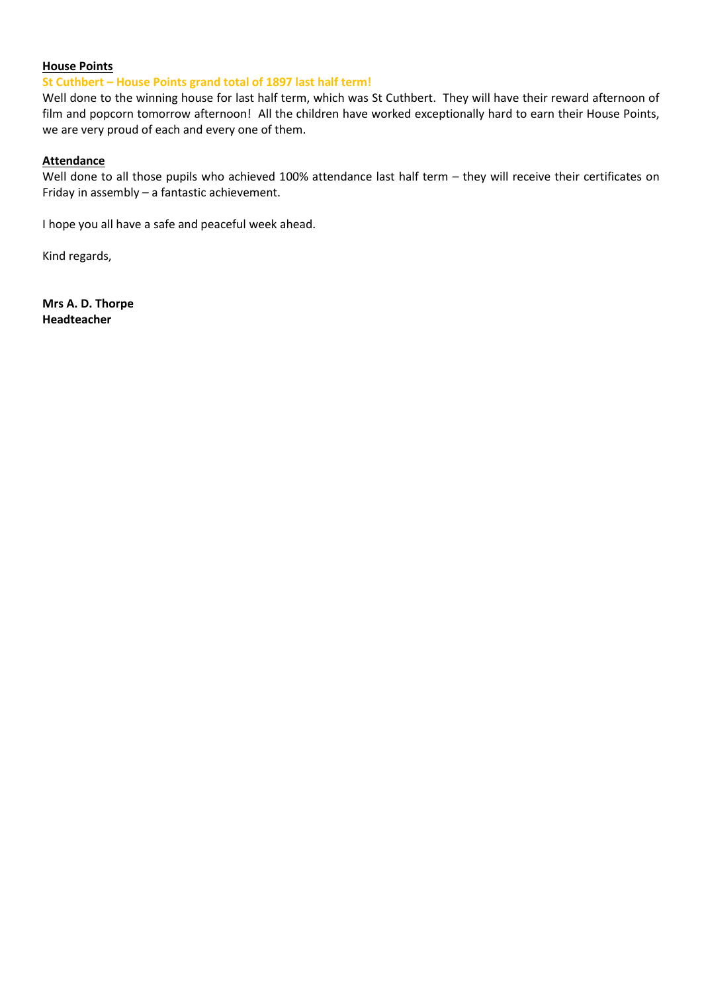#### **House Points**

#### **St Cuthbert – House Points grand total of 1897 last half term!**

Well done to the winning house for last half term, which was St Cuthbert. They will have their reward afternoon of film and popcorn tomorrow afternoon! All the children have worked exceptionally hard to earn their House Points, we are very proud of each and every one of them.

#### **Attendance**

Well done to all those pupils who achieved 100% attendance last half term – they will receive their certificates on Friday in assembly – a fantastic achievement.

I hope you all have a safe and peaceful week ahead.

Kind regards,

**Mrs A. D. Thorpe Headteacher**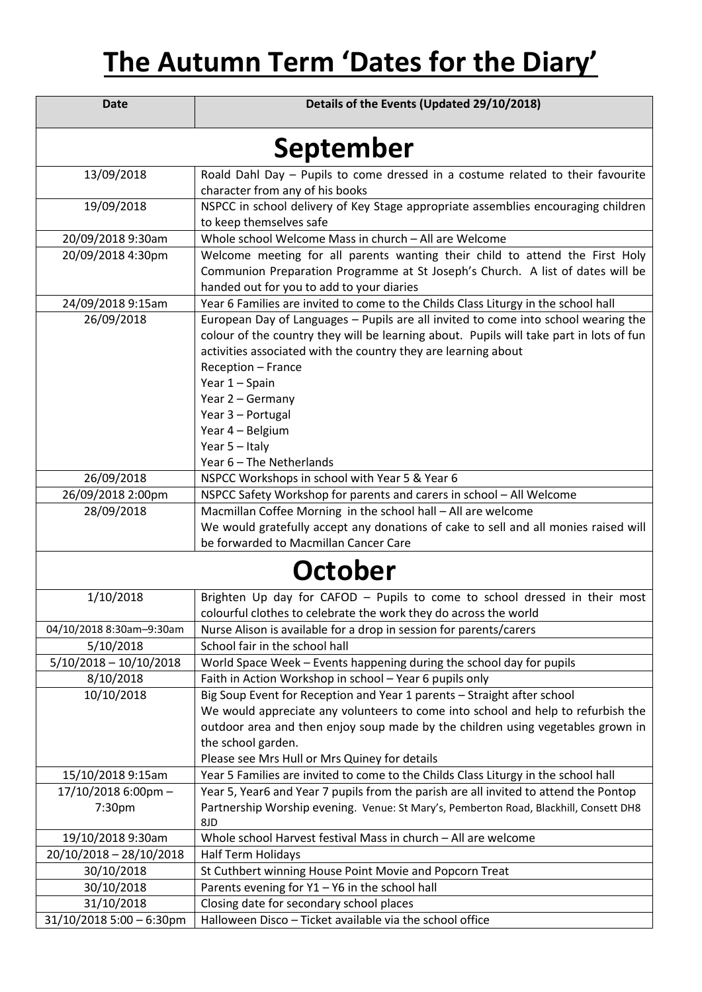# **The Autumn Term 'Dates for the Diary'**

| <b>Date</b>                   | Details of the Events (Updated 29/10/2018)                                                                                                                                                                                                                                                                                                                             |
|-------------------------------|------------------------------------------------------------------------------------------------------------------------------------------------------------------------------------------------------------------------------------------------------------------------------------------------------------------------------------------------------------------------|
| September                     |                                                                                                                                                                                                                                                                                                                                                                        |
| 13/09/2018                    | Roald Dahl Day - Pupils to come dressed in a costume related to their favourite                                                                                                                                                                                                                                                                                        |
|                               | character from any of his books                                                                                                                                                                                                                                                                                                                                        |
| 19/09/2018                    | NSPCC in school delivery of Key Stage appropriate assemblies encouraging children<br>to keep themselves safe                                                                                                                                                                                                                                                           |
| 20/09/2018 9:30am             | Whole school Welcome Mass in church - All are Welcome                                                                                                                                                                                                                                                                                                                  |
| 20/09/2018 4:30pm             | Welcome meeting for all parents wanting their child to attend the First Holy<br>Communion Preparation Programme at St Joseph's Church. A list of dates will be<br>handed out for you to add to your diaries                                                                                                                                                            |
| 24/09/2018 9:15am             | Year 6 Families are invited to come to the Childs Class Liturgy in the school hall                                                                                                                                                                                                                                                                                     |
| 26/09/2018                    | European Day of Languages - Pupils are all invited to come into school wearing the<br>colour of the country they will be learning about. Pupils will take part in lots of fun<br>activities associated with the country they are learning about<br>Reception - France<br>Year 1 - Spain<br>Year 2 - Germany<br>Year 3 - Portugal<br>Year 4 - Belgium<br>Year 5 - Italy |
|                               | Year 6 - The Netherlands                                                                                                                                                                                                                                                                                                                                               |
| 26/09/2018                    | NSPCC Workshops in school with Year 5 & Year 6                                                                                                                                                                                                                                                                                                                         |
| 26/09/2018 2:00pm             | NSPCC Safety Workshop for parents and carers in school - All Welcome                                                                                                                                                                                                                                                                                                   |
| 28/09/2018                    | Macmillan Coffee Morning in the school hall - All are welcome                                                                                                                                                                                                                                                                                                          |
|                               | We would gratefully accept any donations of cake to sell and all monies raised will<br>be forwarded to Macmillan Cancer Care                                                                                                                                                                                                                                           |
| October                       |                                                                                                                                                                                                                                                                                                                                                                        |
| 1/10/2018                     | Brighten Up day for CAFOD - Pupils to come to school dressed in their most                                                                                                                                                                                                                                                                                             |
|                               | colourful clothes to celebrate the work they do across the world                                                                                                                                                                                                                                                                                                       |
| 04/10/2018 8:30am-9:30am      | Nurse Alison is available for a drop in session for parents/carers                                                                                                                                                                                                                                                                                                     |
| 5/10/2018                     | School fair in the school hall                                                                                                                                                                                                                                                                                                                                         |
| $5/10/2018 - 10/10/2018$      | World Space Week - Events happening during the school day for pupils                                                                                                                                                                                                                                                                                                   |
| 8/10/2018                     | Faith in Action Workshop in school - Year 6 pupils only                                                                                                                                                                                                                                                                                                                |
| 10/10/2018                    | Big Soup Event for Reception and Year 1 parents - Straight after school<br>We would appreciate any volunteers to come into school and help to refurbish the<br>outdoor area and then enjoy soup made by the children using vegetables grown in<br>the school garden.<br>Please see Mrs Hull or Mrs Quiney for details                                                  |
| 15/10/2018 9:15am             | Year 5 Families are invited to come to the Childs Class Liturgy in the school hall                                                                                                                                                                                                                                                                                     |
| 17/10/2018 6:00pm -<br>7:30pm | Year 5, Year6 and Year 7 pupils from the parish are all invited to attend the Pontop<br>Partnership Worship evening. Venue: St Mary's, Pemberton Road, Blackhill, Consett DH8<br>8JD                                                                                                                                                                                   |
| 19/10/2018 9:30am             | Whole school Harvest festival Mass in church - All are welcome                                                                                                                                                                                                                                                                                                         |
| 20/10/2018 - 28/10/2018       | <b>Half Term Holidays</b>                                                                                                                                                                                                                                                                                                                                              |
| 30/10/2018                    | St Cuthbert winning House Point Movie and Popcorn Treat                                                                                                                                                                                                                                                                                                                |
| 30/10/2018                    | Parents evening for $Y1 - Y6$ in the school hall                                                                                                                                                                                                                                                                                                                       |
| 31/10/2018                    | Closing date for secondary school places                                                                                                                                                                                                                                                                                                                               |
| $31/10/20185:00 - 6:30$ pm    | Halloween Disco - Ticket available via the school office                                                                                                                                                                                                                                                                                                               |